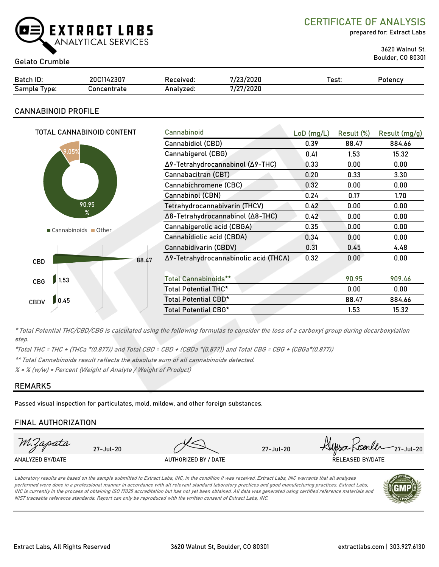

CERTIFICATE OF ANALYSIS

prepared for: Extract Labs

3620 Walnut St. Boulder, CO 80301 Gelato Crumble

| Batch ID:       | 20C1142307  | Received: | 7/23/2020 | Test: | Potencv |
|-----------------|-------------|-----------|-----------|-------|---------|
| Sample<br>Type: | Concentrate | Analvzed: | 7/27/2020 |       |         |

# CANNABINOID PROFILE

| TOTAL CANNABINOID CONTENT |       | Cannabinoid                           | $LoD$ (mg/L) | Result (%) | Result (mg/g) |
|---------------------------|-------|---------------------------------------|--------------|------------|---------------|
|                           |       | Cannabidiol (CBD)                     | 0.39         | 88.47      | 884.66        |
| 9.05%                     |       | Cannabigerol (CBG)                    | 0.41         | 1.53       | 15.32         |
|                           |       | Δ9-Tetrahydrocannabinol (Δ9-THC)      | 0.33         | 0.00       | 0.00          |
|                           |       | Cannabacitran (CBT)                   | 0.20         | 0.33       | 3.30          |
|                           |       | Cannabichromene (CBC)                 | 0.32         | 0.00       | 0.00          |
|                           |       | Cannabinol (CBN)                      | 0.24         | 0.17       | 1.70          |
| 90.95                     |       | Tetrahydrocannabivarin (THCV)         | 0.42         | 0.00       | 0.00          |
| %                         |       | Δ8-Tetrahydrocannabinol (Δ8-THC)      | 0.42         | 0.00       | 0.00          |
| Cannabinoids Other        |       | Cannabigerolic acid (CBGA)            | 0.35         | 0.00       | 0.00          |
|                           |       | Cannabidiolic acid (CBDA)             | 0.34         | 0.00       | 0.00          |
|                           |       | Cannabidivarin (CBDV)                 | 0.31         | 0.45       | 4.48          |
| CBD                       | 88.47 | Δ9-Tetrahydrocannabinolic acid (THCA) | 0.32         | 0.00       | 0.00          |
|                           |       |                                       |              |            |               |
| 1.53<br>CBG               |       | <b>Total Cannabinoids**</b>           |              | 90.95      | 909.46        |
|                           |       | Total Potential THC*                  |              | 0.00       | 0.00          |
| 0.45<br><b>CBDV</b>       |       | Total Potential CBD*                  |              | 88.47      | 884.66        |
|                           |       | Total Potential CBG*                  |              | 1.53       | 15.32         |

\* Total Potential THC/CBD/CBG is calculated using the following formulas to consider the loss of a carboxyl group during decarboxylation step.

\*Total THC = THC + (THCa \*(0.877)) and Total CBD = CBD + (CBDa \*(0.877)) and Total CBG = CBG + (CBGa\*(0.877))

\*\* Total Cannabinoids result reflects the absolute sum of all cannabinoids detected.

 $% =$  % (w/w) = Percent (Weight of Analyte / Weight of Product)

# REMARKS

Passed visual inspection for particulates, mold, mildew, and other foreign substances.

# FINAL AUTHORIZATION



Laboratory results are based on the sample submitted to Extract Labs, INC, in the condition it was received. Extract Labs, INC warrants that all analyses performed were done in a professional manner in accordance with all relevant standard laboratory practices and good manufacturing practices. Extract Labs, INC is currently in the process of obtaining ISO 17025 accreditation but has not yet been obtained. All data was generated using certified reference materials and NIST traceable reference standards. Report can only be reproduced with the written consent of Extract Labs, INC.

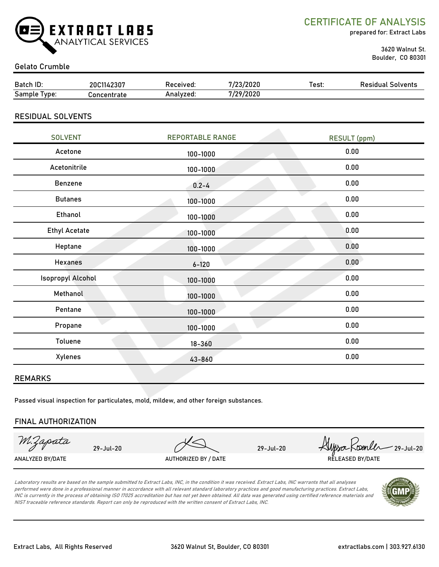

CERTIFICATE OF ANALYSIS

prepared for: Extract Labs

 3620 Walnut St. Boulder, CO 80301

### Gelato Crumble

| Batch ID:    | 20C1142307  | Received: | 7/23/2020 | Test: | <b>Residual Solvents</b> |
|--------------|-------------|-----------|-----------|-------|--------------------------|
| Sample Type: | Concentrate | Analyzed: | 7/29/2020 |       |                          |
|              |             |           |           |       |                          |

RESIDUAL SOLVENTS

| <b>SOLVENT</b>       | <b>REPORTABLE RANGE</b> | <b>RESULT</b> (ppm) |  |
|----------------------|-------------------------|---------------------|--|
| Acetone              | 100-1000                | 0.00                |  |
| Acetonitrile         | 100-1000                | 0.00                |  |
| Benzene              | $0.2 - 4$               | 0.00                |  |
| <b>Butanes</b>       | 100-1000                | 0.00                |  |
| Ethanol              | 100-1000                | 0.00                |  |
| <b>Ethyl Acetate</b> | 100-1000                | 0.00                |  |
| Heptane              | 100-1000                | 0.00                |  |
| <b>Hexanes</b>       | $6 - 120$               | 0.00                |  |
| Isopropyl Alcohol    | 100-1000                | 0.00                |  |
| Methanol             | 100-1000                | 0.00                |  |
| Pentane              | 100-1000                | 0.00                |  |
| Propane              | 100-1000                | 0.00                |  |
| Toluene              | $18 - 360$              | 0.00                |  |
| Xylenes              | 43-860                  | 0.00                |  |
|                      |                         |                     |  |

#### REMARKS

Passed visual inspection for particulates, mold, mildew, and other foreign substances.

#### FINAL AUTHORIZATION

M.Zapata

29-Jul-20 29-Jul-20 Alysa Koenler 29-Jul-20 ANALYZED BY/DATE AUTHORIZED BY / DATE AUTHORIZED BY / DATE RELEASED BY/DATE

Laboratory results are based on the sample submitted to Extract Labs, INC, in the condition it was received. Extract Labs, INC warrants that all analyses performed were done in a professional manner in accordance with all relevant standard laboratory practices and good manufacturing practices. Extract Labs, INC is currently in the process of obtaining ISO 17025 accreditation but has not yet been obtained. All data was generated using certified reference materials and NIST traceable reference standards. Report can only be reproduced with the written consent of Extract Labs, INC.